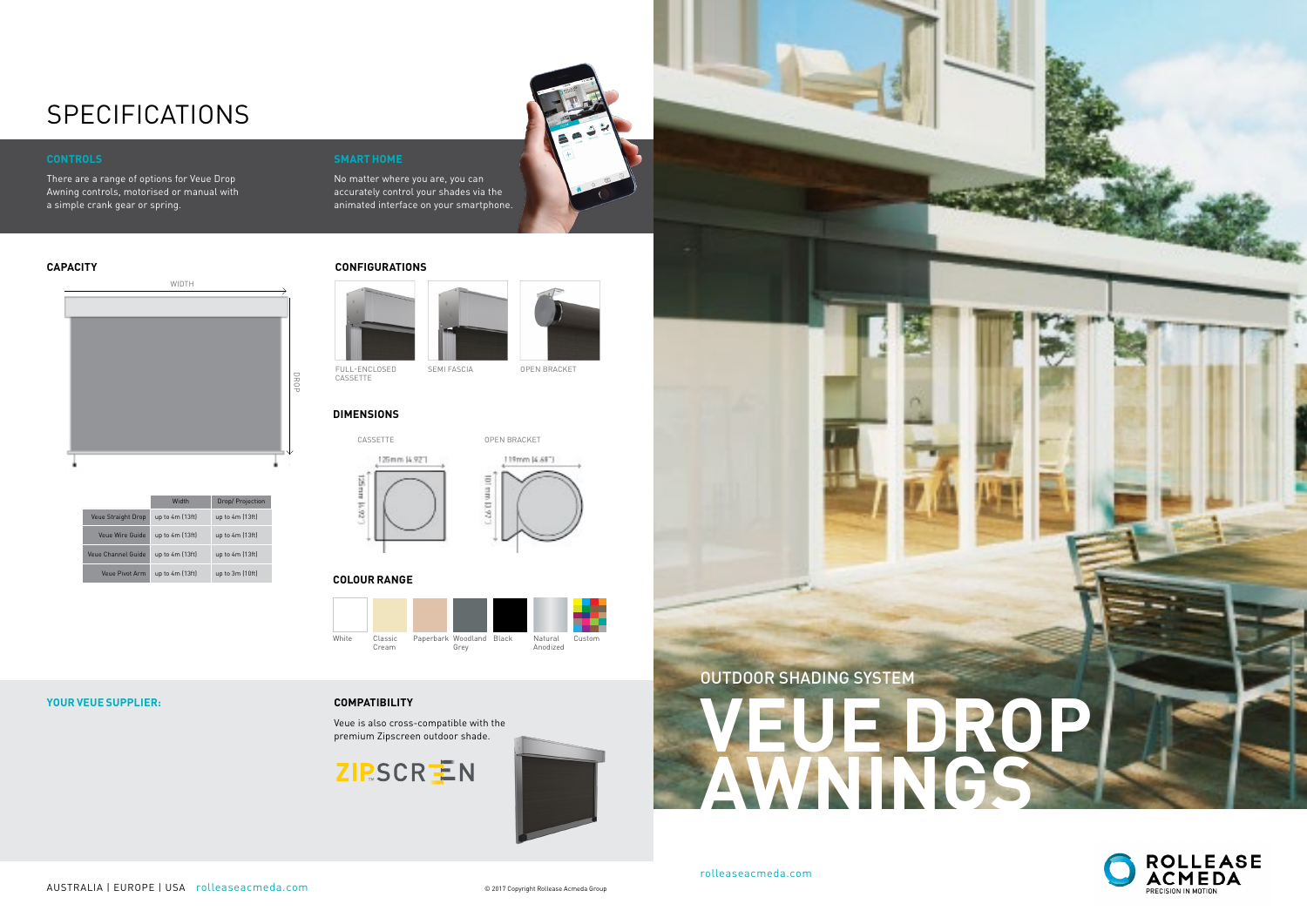## **YOUR VEUE SUPPLIER:**

No matter where you are, you can accurately control your shades via the animated interface on your smartphone.

## **CAPACITY**

## **SPECIFICATIONS**

## **CONTROLS**

There are a range of options for Veue Drop Awning controls, motorised or manual with a simple crank gear or spring.

## **DIMENSIONS**

## **COLOUR RANGE**



|                           | Width           | Drop/Projection   |
|---------------------------|-----------------|-------------------|
| <b>Veue Straight Drop</b> | up to 4m (13ft) | up to $4m$ (13ft) |
| Veue Wire Guide           | up to 4m (13ft) | up to $4m$ (13ft) |
| Veue Channel Guide        | up to 4m (13ft) | up to $4m$ (13ft) |
| Veue Pivot Arm            | up to 4m (13ft) | up to $3m(10ft)$  |

## **CONFIGURATIONS**



FULL-ENCLOSED CASSETTE

SEMI FASCIA OPEN BRACKET



119mm (4.681)  $\overline{\omega}$ ej

## **COMPATIBILITY**

Veue is also cross-compatible with the premium Zipscreen outdoor shade.